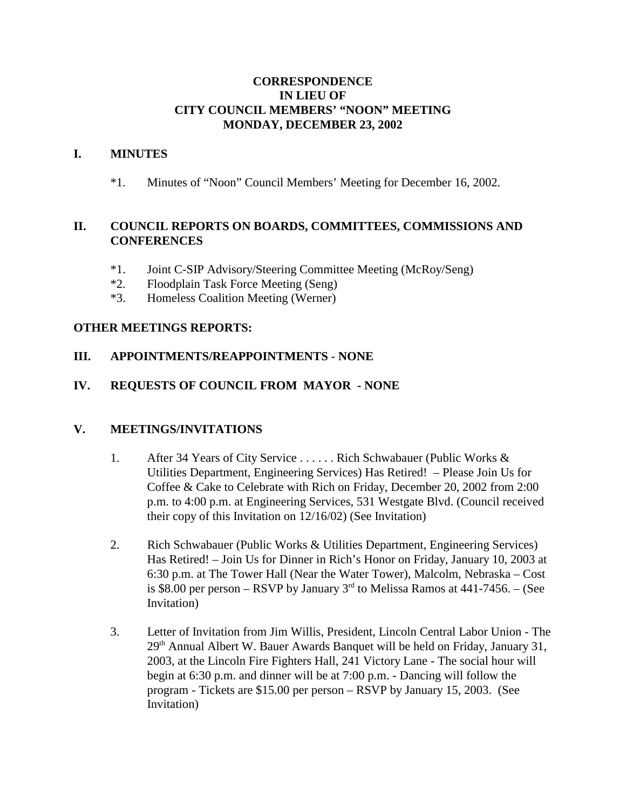### **CORRESPONDENCE IN LIEU OF CITY COUNCIL MEMBERS' "NOON" MEETING MONDAY, DECEMBER 23, 2002**

### **I. MINUTES**

\*1. Minutes of "Noon" Council Members' Meeting for December 16, 2002.

## **II. COUNCIL REPORTS ON BOARDS, COMMITTEES, COMMISSIONS AND CONFERENCES**

- \*1. Joint C-SIP Advisory/Steering Committee Meeting (McRoy/Seng)
- \*2. Floodplain Task Force Meeting (Seng)
- \*3. Homeless Coalition Meeting (Werner)

### **OTHER MEETINGS REPORTS:**

## **III. APPOINTMENTS/REAPPOINTMENTS** - **NONE**

## **IV. REQUESTS OF COUNCIL FROM MAYOR - NONE**

#### **V. MEETINGS/INVITATIONS**

- 1. After 34 Years of City Service . . . . . . Rich Schwabauer (Public Works & Utilities Department, Engineering Services) Has Retired! – Please Join Us for Coffee & Cake to Celebrate with Rich on Friday, December 20, 2002 from 2:00 p.m. to 4:00 p.m. at Engineering Services, 531 Westgate Blvd. (Council received their copy of this Invitation on 12/16/02) (See Invitation)
- 2. Rich Schwabauer (Public Works & Utilities Department, Engineering Services) Has Retired! – Join Us for Dinner in Rich's Honor on Friday, January 10, 2003 at 6:30 p.m. at The Tower Hall (Near the Water Tower), Malcolm, Nebraska – Cost is \$8.00 per person – RSVP by January  $3<sup>rd</sup>$  to Melissa Ramos at 441-7456. – (See Invitation)
- 3. Letter of Invitation from Jim Willis, President, Lincoln Central Labor Union The  $29<sup>th</sup>$  Annual Albert W. Bauer Awards Banquet will be held on Friday, January 31, 2003, at the Lincoln Fire Fighters Hall, 241 Victory Lane - The social hour will begin at 6:30 p.m. and dinner will be at 7:00 p.m. - Dancing will follow the program - Tickets are \$15.00 per person – RSVP by January 15, 2003. (See Invitation)